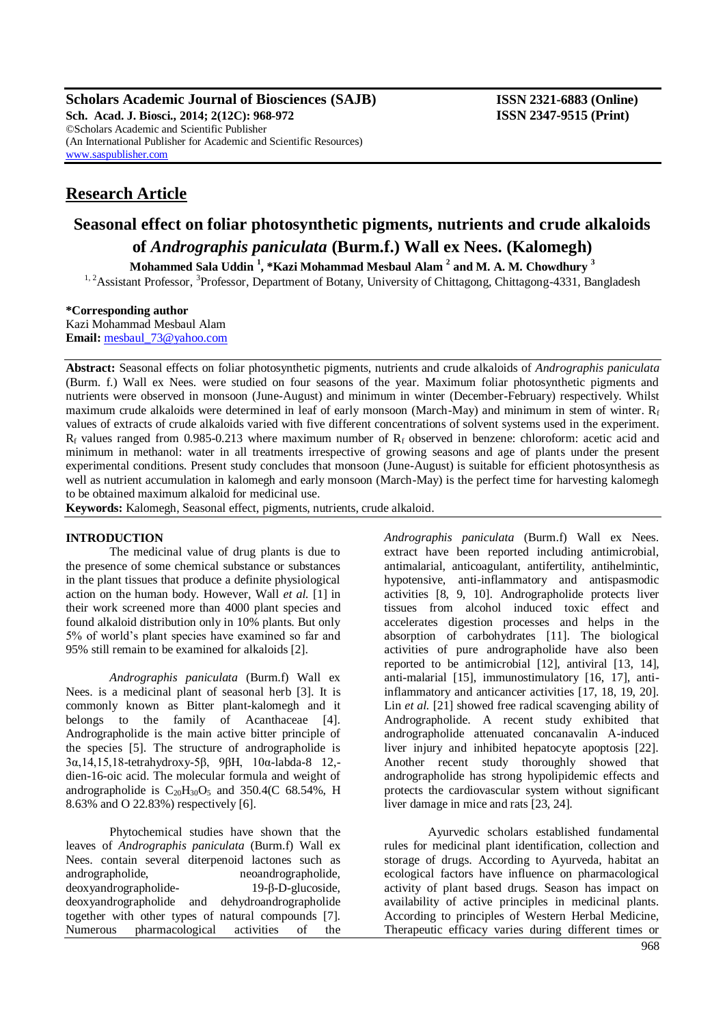**Scholars Academic Journal of Biosciences (SAJB) ISSN 2321-6883 (Online) Sch. Acad. J. Biosci., 2014; 2(12C): 968-972 ISSN 2347-9515 (Print)** ©Scholars Academic and Scientific Publisher (An International Publisher for Academic and Scientific Resources) [www.saspublisher.com](http://www.saspublisher.com/)

# **Research Article**

# **Seasonal effect on foliar photosynthetic pigments, nutrients and crude alkaloids of** *Andrographis paniculata* **(Burm.f.) Wall ex Nees. (Kalomegh)**

**Mohammed Sala Uddin <sup>1</sup> , \*Kazi Mohammad Mesbaul Alam <sup>2</sup> and M. A. M. Chowdhury <sup>3</sup>**

<sup>1, 2</sup> Assistant Professor, <sup>3</sup> Professor, Department of Botany, University of Chittagong, Chittagong-4331, Bangladesh

#### **\*Corresponding author**

Kazi Mohammad Mesbaul Alam **Email:** [mesbaul\\_73@yahoo.com](mailto:mesbaul_73@yahoo.com)

**Abstract:** Seasonal effects on foliar photosynthetic pigments, nutrients and crude alkaloids of *Andrographis paniculata*  (Burm. f.) Wall ex Nees. were studied on four seasons of the year. Maximum foliar photosynthetic pigments and nutrients were observed in monsoon (June-August) and minimum in winter (December-February) respectively. Whilst maximum crude alkaloids were determined in leaf of early monsoon (March-May) and minimum in stem of winter.  $R_f$ values of extracts of crude alkaloids varied with five different concentrations of solvent systems used in the experiment.  $R_f$  values ranged from 0.985-0.213 where maximum number of  $R_f$  observed in benzene: chloroform: acetic acid and minimum in methanol: water in all treatments irrespective of growing seasons and age of plants under the present experimental conditions. Present study concludes that monsoon (June-August) is suitable for efficient photosynthesis as well as nutrient accumulation in kalomegh and early monsoon (March-May) is the perfect time for harvesting kalomegh to be obtained maximum alkaloid for medicinal use.

**Keywords:** Kalomegh, Seasonal effect, pigments, nutrients, crude alkaloid.

## **INTRODUCTION**

The medicinal value of drug plants is due to the presence of some chemical substance or substances in the plant tissues that produce a definite physiological action on the human body. However, Wall *et al.* [1] in their work screened more than 4000 plant species and found alkaloid distribution only in 10% plants. But only 5% of world's plant species have examined so far and 95% still remain to be examined for alkaloids [2].

*Andrographis paniculata* (Burm.f) Wall ex Nees. is a medicinal plant of seasonal herb [3]. It is commonly known as Bitter plant-kalomegh and it belongs to the family of Acanthaceae [4]. Andrographolide is the main active bitter principle of the species [5]. The structure of andrographolide is 3α,14,15,18-tetrahydroxy-5β, 9βH, 10α-labda-8 12, dien-16-oic acid. The molecular formula and weight of andrographolide is  $C_{20}H_{30}O_5$  and 350.4(C 68.54%, H 8.63% and O 22.83%) respectively [6].

Phytochemical studies have shown that the leaves of *Andrographis paniculata* (Burm.f) Wall ex Nees. contain several diterpenoid lactones such as andrographolide, neoandrographolide, deoxyandrographolide- 19-β-D-glucoside, deoxyandrographolide and dehydroandrographolide together with other types of natural compounds [7]. Numerous pharmacological activities of the

*Andrographis paniculata* (Burm.f) Wall ex Nees. extract have been reported including antimicrobial, antimalarial, anticoagulant, antifertility, antihelmintic, hypotensive, anti-inflammatory and antispasmodic activities [8, 9, 10]. Andrographolide protects liver tissues from alcohol induced toxic effect and accelerates digestion processes and helps in the absorption of carbohydrates [11]. The biological activities of pure andrographolide have also been reported to be antimicrobial [12], antiviral [13, 14], anti-malarial [15], immunostimulatory [16, 17], antiinflammatory and anticancer activities [17, 18, 19, 20]. Lin *et al.* [21] showed free radical scavenging ability of Andrographolide. A recent study exhibited that andrographolide attenuated concanavalin A-induced liver injury and inhibited hepatocyte apoptosis [22]. Another recent study thoroughly showed that andrographolide has strong hypolipidemic effects and protects the cardiovascular system without significant liver damage in mice and rats [23, 24].

Ayurvedic scholars established fundamental rules for medicinal plant identification, collection and storage of drugs. According to Ayurveda, habitat an ecological factors have influence on pharmacological activity of plant based drugs. Season has impact on availability of active principles in medicinal plants. According to principles of Western Herbal Medicine, Therapeutic efficacy varies during different times or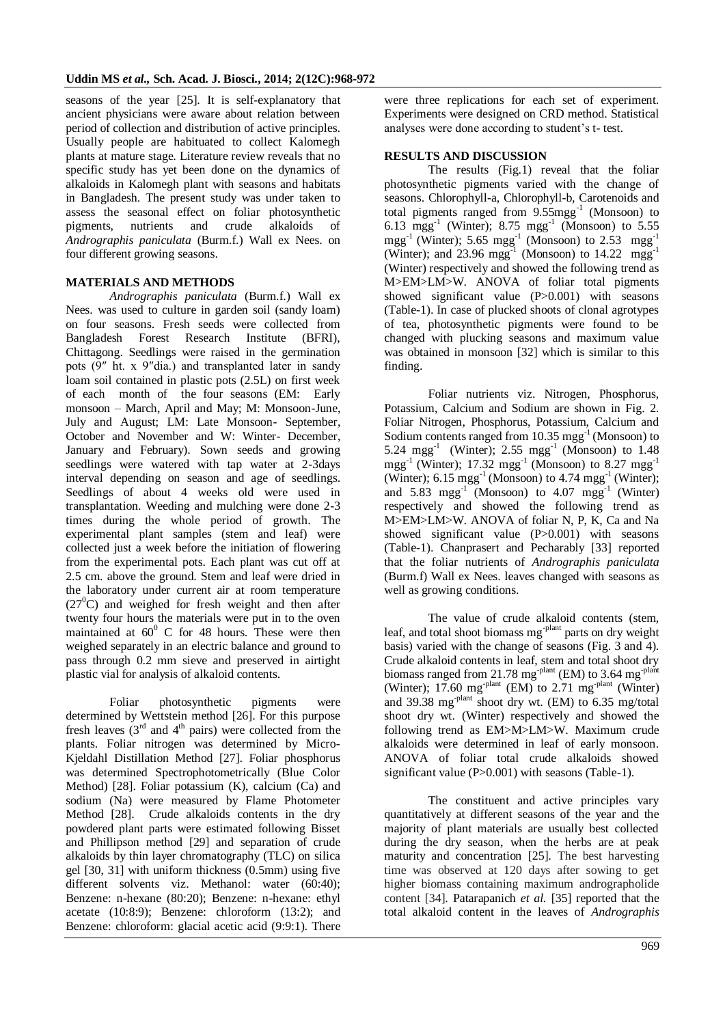seasons of the year [25]. It is self-explanatory that ancient physicians were aware about relation between period of collection and distribution of active principles. Usually people are habituated to collect Kalomegh plants at mature stage. Literature review reveals that no specific study has yet been done on the dynamics of alkaloids in Kalomegh plant with seasons and habitats in Bangladesh. The present study was under taken to assess the seasonal effect on foliar photosynthetic pigments, nutrients and crude alkaloids of *Andrographis paniculata* (Burm.f.) Wall ex Nees. on four different growing seasons.

## **MATERIALS AND METHODS**

*Andrographis paniculata* (Burm.f.) Wall ex Nees. was used to culture in garden soil (sandy loam) on four seasons. Fresh seeds were collected from Bangladesh Forest Research Institute (BFRI), Chittagong. Seedlings were raised in the germination pots (9″ ht. x 9″dia.) and transplanted later in sandy loam soil contained in plastic pots (2.5L) on first week of each month of the four seasons (EM: Early monsoon – March, April and May; M: Monsoon-June, July and August; LM: Late Monsoon- September, October and November and W: Winter- December, January and February). Sown seeds and growing seedlings were watered with tap water at 2-3days interval depending on season and age of seedlings. Seedlings of about 4 weeks old were used in transplantation. Weeding and mulching were done 2-3 times during the whole period of growth. The experimental plant samples (stem and leaf) were collected just a week before the initiation of flowering from the experimental pots. Each plant was cut off at 2.5 cm. above the ground. Stem and leaf were dried in the laboratory under current air at room temperature  $(27<sup>0</sup>C)$  and weighed for fresh weight and then after twenty four hours the materials were put in to the oven maintained at  $60^{\circ}$  C for 48 hours. These were then weighed separately in an electric balance and ground to pass through 0.2 mm sieve and preserved in airtight plastic vial for analysis of alkaloid contents.

Foliar photosynthetic pigments were determined by Wettstein method [26]. For this purpose fresh leaves  $(3<sup>rd</sup>$  and  $4<sup>th</sup>$  pairs) were collected from the plants. Foliar nitrogen was determined by Micro-Kjeldahl Distillation Method [27]. Foliar phosphorus was determined Spectrophotometrically (Blue Color Method) [28]. Foliar potassium (K), calcium (Ca) and sodium (Na) were measured by Flame Photometer Method [28]. Crude alkaloids contents in the dry powdered plant parts were estimated following Bisset and Phillipson method [29] and separation of crude alkaloids by thin layer chromatography (TLC) on silica gel [30, 31] with uniform thickness (0.5mm) using five different solvents viz. Methanol: water (60:40); Benzene: n-hexane (80:20); Benzene: n-hexane: ethyl acetate (10:8:9); Benzene: chloroform (13:2); and Benzene: chloroform: glacial acetic acid (9:9:1). There

were three replications for each set of experiment. Experiments were designed on CRD method. Statistical analyses were done according to student's t- test.

#### **RESULTS AND DISCUSSION**

The results (Fig.1) reveal that the foliar photosynthetic pigments varied with the change of seasons. Chlorophyll-a, Chlorophyll-b, Carotenoids and total pigments ranged from 9.55mgg<sup>-1</sup> (Monsoon) to 6.13  $mgg^{-1}$  (Winter); 8.75  $mgg^{-1}$  (Monsoon) to 5.55  $mgg^{-1}$  (Winter); 5.65  $mgg^{-1}$  (Monsoon) to 2.53  $mgg^{-1}$ (Winter); and 23.96 mgg<sup>-1</sup> (Monsoon) to 14.22 mgg<sup>-1</sup> (Winter) respectively and showed the following trend as M>EM>LM>W. ANOVA of foliar total pigments showed significant value (P>0.001) with seasons (Table-1). In case of plucked shoots of clonal agrotypes of tea, photosynthetic pigments were found to be changed with plucking seasons and maximum value was obtained in monsoon [32] which is similar to this finding.

Foliar nutrients viz. Nitrogen, Phosphorus, Potassium, Calcium and Sodium are shown in Fig. 2. Foliar Nitrogen, Phosphorus, Potassium, Calcium and Sodium contents ranged from  $10.35 \text{ mgg}^{-1}$  (Monsoon) to 5.24 mgg<sup>-1</sup> (Winter); 2.55 mgg<sup>-1</sup> (Monsoon) to  $1.48$ mgg<sup>-1</sup> (Winter); 17.32 mgg<sup>-1</sup> (Monsoon) to 8.27 mgg<sup>-1</sup> (Winter);  $6.15 \text{ mgg}^{-1}$  (Monsoon) to  $4.74 \text{ mgg}^{-1}$  (Winter); and  $5.83$  mgg<sup>-1</sup> (Monsoon) to  $4.07$  mgg<sup>-1</sup> (Winter) respectively and showed the following trend as M>EM>LM>W. ANOVA of foliar N, P, K, Ca and Na showed significant value (P>0.001) with seasons (Table-1). Chanprasert and Pecharably [33] reported that the foliar nutrients of *Andrographis paniculata*  (Burm.f) Wall ex Nees. leaves changed with seasons as well as growing conditions.

The value of crude alkaloid contents (stem, leaf, and total shoot biomass mg<sup>-plant</sup> parts on dry weight basis) varied with the change of seasons (Fig. 3 and 4). Crude alkaloid contents in leaf, stem and total shoot dry biomass ranged from 21.78 mg<sup>-plant</sup> (EM) to 3.64 mg<sup>-plant</sup> (Winter); 17.60 mg<sup>-plant</sup> (EM) to 2.71 mg<sup>-plant</sup> (Winter) and  $39.38$  mg<sup>-plant</sup> shoot dry wt. (EM) to  $6.35$  mg/total shoot dry wt. (Winter) respectively and showed the following trend as EM>M>LM>W. Maximum crude alkaloids were determined in leaf of early monsoon. ANOVA of foliar total crude alkaloids showed significant value (P $>0.001$ ) with seasons (Table-1).

The constituent and active principles vary quantitatively at different seasons of the year and the majority of plant materials are usually best collected during the dry season, when the herbs are at peak maturity and concentration [25]. The best harvesting time was observed at 120 days after sowing to get higher biomass containing maximum andrographolide content [34]. Patarapanich *et al.* [35] reported that the total alkaloid content in the leaves of *Andrographis*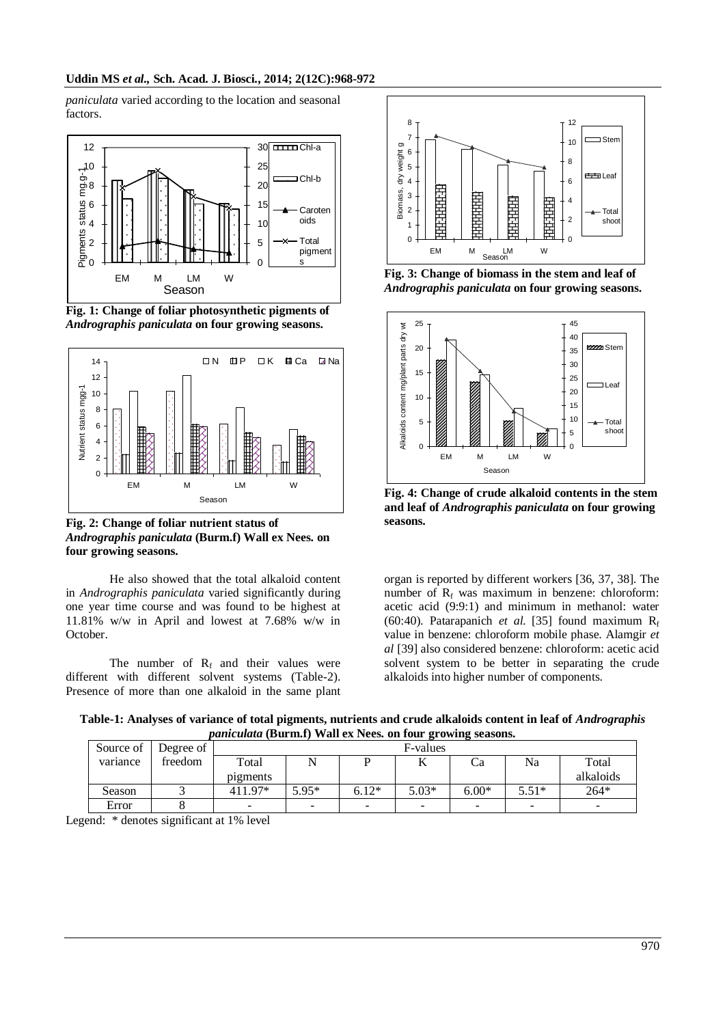*paniculata* varied according to the location and seasonal factors.



**Fig. 1: Change of foliar photosynthetic pigments of**  *Andrographis paniculata* **on four growing seasons.**



**Fig. 2: Change of foliar nutrient status of**  *Andrographis paniculata* **(Burm.f) Wall ex Nees. on four growing seasons.**

He also showed that the total alkaloid content in *Andrographis paniculata* varied significantly during one year time course and was found to be highest at 11.81% w/w in April and lowest at 7.68% w/w in October.

The number of  $R_f$  and their values were different with different solvent systems (Table-2). Presence of more than one alkaloid in the same plant



**Fig. 3: Change of biomass in the stem and leaf of**  *Andrographis paniculata* **on four growing seasons.**



**Fig. 4: Change of crude alkaloid contents in the stem and leaf of** *Andrographis paniculata* **on four growing seasons.**

organ is reported by different workers [36, 37, 38]. The number of  $R_f$  was maximum in benzene: chloroform: acetic acid (9:9:1) and minimum in methanol: water (60:40). Patarapanich *et al.* [35] found maximum  $R_f$ value in benzene: chloroform mobile phase. Alamgir *et al* [39] also considered benzene: chloroform: acetic acid solvent system to be better in separating the crude alkaloids into higher number of components.

**Table-1: Analyses of variance of total pigments, nutrients and crude alkaloids content in leaf of** *Andrographis paniculata* **(Burm.f) Wall ex Nees. on four growing seasons.**

| Source of | Degree of | F-values                 |                          |         |         |         |         |           |  |
|-----------|-----------|--------------------------|--------------------------|---------|---------|---------|---------|-----------|--|
| variance  | freedom   | Total                    |                          |         | 17      | Сa      | Na      | Total     |  |
|           |           | pigments                 |                          |         |         |         |         | alkaloids |  |
| Season    |           | 411 97*                  | $5.95*$                  | $6.12*$ | $5.03*$ | $6.00*$ | $5.51*$ | 264*      |  |
| Error     |           | $\overline{\phantom{a}}$ | $\overline{\phantom{a}}$ | -       |         | -       | -       | -         |  |

Legend: \* denotes significant at 1% level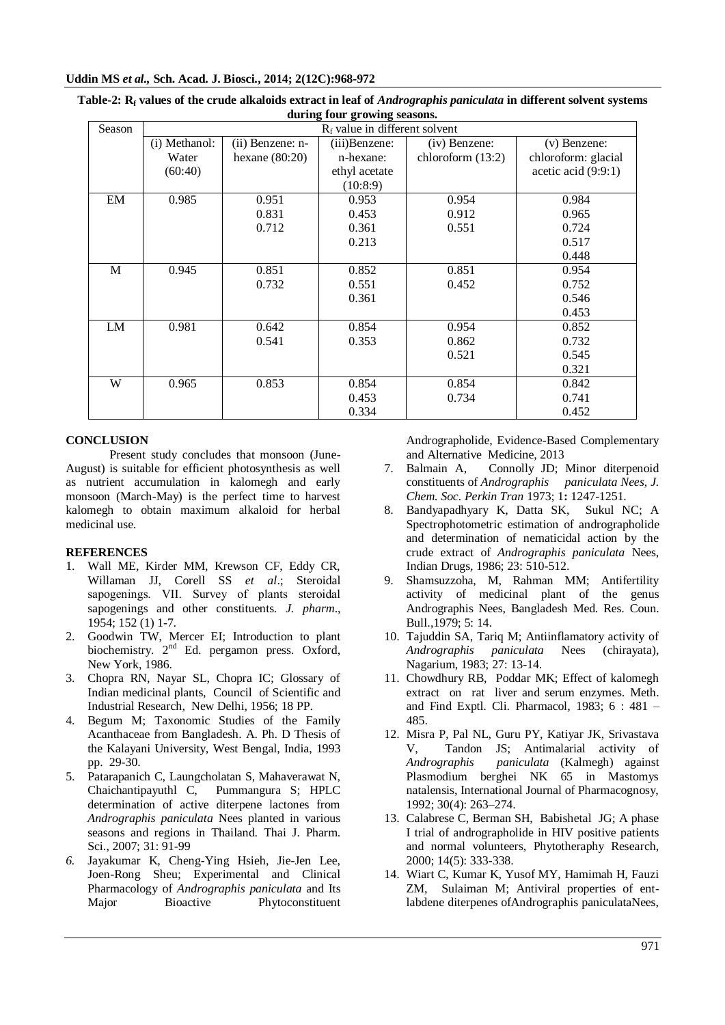## **Uddin MS** *et al.,* **Sch. Acad. J. Biosci., 2014; 2(12C):968-972**

| $\frac{1}{2}$ and $\frac{1}{2}$ and $\frac{1}{2}$ and $\frac{1}{2}$ and $\frac{1}{2}$ |                                  |                  |               |                     |                       |  |  |  |  |  |  |
|---------------------------------------------------------------------------------------|----------------------------------|------------------|---------------|---------------------|-----------------------|--|--|--|--|--|--|
| Season                                                                                | $R_f$ value in different solvent |                  |               |                     |                       |  |  |  |  |  |  |
|                                                                                       | (i) Methanol:                    | (ii) Benzene: n- | (iii)Benzene: | (iv) Benzene:       | (v) Benzene:          |  |  |  |  |  |  |
|                                                                                       | Water                            | hexane $(80:20)$ | n-hexane:     | chloroform $(13:2)$ | chloroform: glacial   |  |  |  |  |  |  |
|                                                                                       | (60:40)                          |                  | ethyl acetate |                     | acetic acid $(9:9:1)$ |  |  |  |  |  |  |
|                                                                                       |                                  |                  | (10:8:9)      |                     |                       |  |  |  |  |  |  |
| EM                                                                                    | 0.985                            | 0.951            | 0.953         | 0.954               | 0.984                 |  |  |  |  |  |  |
|                                                                                       |                                  | 0.831            | 0.453         | 0.912               | 0.965                 |  |  |  |  |  |  |
|                                                                                       |                                  | 0.712            | 0.361         | 0.551               | 0.724                 |  |  |  |  |  |  |
|                                                                                       |                                  |                  | 0.213         |                     | 0.517                 |  |  |  |  |  |  |
|                                                                                       |                                  |                  |               |                     | 0.448                 |  |  |  |  |  |  |
| M                                                                                     | 0.945                            | 0.851            | 0.852         | 0.851               | 0.954                 |  |  |  |  |  |  |
|                                                                                       |                                  | 0.732            | 0.551         | 0.452               | 0.752                 |  |  |  |  |  |  |
|                                                                                       |                                  |                  | 0.361         |                     | 0.546                 |  |  |  |  |  |  |
|                                                                                       |                                  |                  |               |                     | 0.453                 |  |  |  |  |  |  |
| LM                                                                                    | 0.981                            | 0.642            | 0.854         | 0.954               | 0.852                 |  |  |  |  |  |  |
|                                                                                       |                                  | 0.541            | 0.353         | 0.862               | 0.732                 |  |  |  |  |  |  |
|                                                                                       |                                  |                  |               | 0.521               | 0.545                 |  |  |  |  |  |  |
|                                                                                       |                                  |                  |               |                     | 0.321                 |  |  |  |  |  |  |
| W                                                                                     | 0.965                            | 0.853            | 0.854         | 0.854               | 0.842                 |  |  |  |  |  |  |
|                                                                                       |                                  |                  | 0.453         | 0.734               | 0.741                 |  |  |  |  |  |  |
|                                                                                       |                                  |                  | 0.334         |                     | 0.452                 |  |  |  |  |  |  |

**Table-2: R<sup>f</sup> values of the crude alkaloids extract in leaf of** *Andrographis paniculata* **in different solvent systems during four growing seasons.**

## **CONCLUSION**

Present study concludes that monsoon (June-August) is suitable for efficient photosynthesis as well as nutrient accumulation in kalomegh and early monsoon (March-May) is the perfect time to harvest kalomegh to obtain maximum alkaloid for herbal medicinal use.

## **REFERENCES**

- 1. Wall ME, Kirder MM, Krewson CF, Eddy CR, Willaman JJ, Corell SS *et al*.; Steroidal sapogenings. VII. Survey of plants steroidal sapogenings and other constituents. *J. pharm*., 1954; 152 (1) 1-7.
- 2. Goodwin TW, Mercer EI; Introduction to plant biochemistry. 2<sup>nd</sup> Ed. pergamon press. Oxford, New York, 1986.
- 3. Chopra RN, Nayar SL, Chopra IC; Glossary of Indian medicinal plants, Council of Scientific and Industrial Research*,* New Delhi, 1956; 18 PP.
- 4. Begum M; Taxonomic Studies of the Family Acanthaceae from Bangladesh. A. Ph. D Thesis of the Kalayani University, West Bengal, India, 1993 pp. 29-30.
- 5. Patarapanich C, Laungcholatan S, Mahaverawat N, Chaichantipayuthl C, Pummangura S; HPLC determination of active diterpene lactones from *Andrographis paniculata* Nees planted in various seasons and regions in Thailand. Thai J. Pharm. Sci., 2007; 31: 91-99
- *6.* Jayakumar K, Cheng-Ying Hsieh, Jie-Jen Lee, Joen-Rong Sheu; Experimental and Clinical Pharmacology of *Andrographis paniculata* and Its Major Bioactive Phytoconstituent

Andrographolide, Evidence-Based Complementary and Alternative Medicine, 2013

- 7. Balmain A, Connolly JD; Minor diterpenoid constituents of *Andrographis paniculata Nees, J. Chem. Soc. Perkin Tran* 1973; 1**:** 1247-1251.
- 8. Bandyapadhyary K, Datta SK, Sukul NC; A Spectrophotometric estimation of andrographolide and determination of nematicidal action by the crude extract of *Andrographis paniculata* Nees, Indian Drugs, 1986; 23: 510-512.
- 9. Shamsuzzoha, M, Rahman MM; Antifertility activity of medicinal plant of the genus Andrographis Nees, Bangladesh Med. Res. Coun. Bull.,1979; 5: 14.
- 10. Tajuddin SA, Tariq M; Antiinflamatory activity of *Andrographis paniculata* Nees (chirayata), *Andrographis paniculata* Nees (chirayata), Nagarium, 1983; 27: 13-14.
- 11. Chowdhury RB, Poddar MK; Effect of kalomegh extract on rat liver and serum enzymes. Meth. and Find Exptl. Cli. Pharmacol, 1983; 6 : 481 – 485.
- 12. Misra P, Pal NL, Guru PY, Katiyar JK, Srivastava V, Tandon JS; Antimalarial activity of *Andrographis paniculata* (Kalmegh) against Plasmodium berghei NK 65 in Mastomys natalensis, International Journal of Pharmacognosy, 1992; 30(4): 263–274.
- 13. Calabrese C, Berman SH, Babishetal JG; A phase I trial of andrographolide in HIV positive patients and normal volunteers, Phytotheraphy Research, 2000; 14(5): 333-338.
- 14. Wiart C, Kumar K, Yusof MY, Hamimah H, Fauzi ZM, Sulaiman M; Antiviral properties of entlabdene diterpenes ofAndrographis paniculataNees,